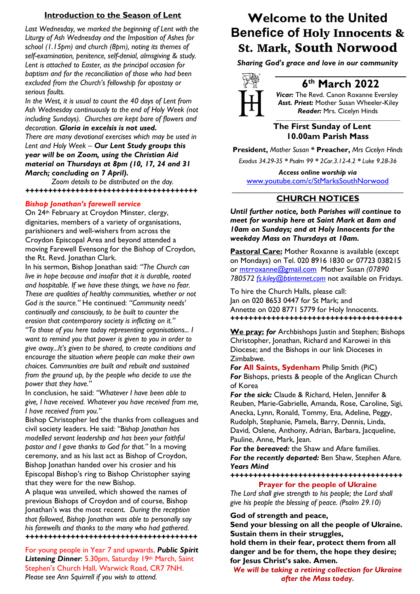### **Introduction to the Season of Lent**

*Last Wednesday, we marked the beginning of Lent with the Liturgy of Ash Wednesday and the Imposition of Ashes for school (1.15pm) and church (8pm), noting its themes of self-examination, penitence, self-denial, almsgiving & study. Lent is attached to Easter, as the principal occasion for baptism and for the reconciliation of those who had been excluded from the Church's fellowship for apostasy or serious faults.*

*In the West, it is usual to count the 40 days of Lent from Ash Wednesday continuously to the end of Holy Week (not including Sundays). Churches are kept bare of flowers and decoration. Gloria in excelsis is not used.* 

*There are many devotional exercises which may be used in Lent and Holy Week – Our Lent Study groups this year will be on Zoom, using the Christian Aid material on Thursdays at 8pm (10, 17, 24 and 31 March; concluding on 7 April).*

*Zoom details to be distributed on the day. ++++++++++++++++++++++++++++++++++++++*

### *Bishop Jonathan's farewell service*

On 24<sup>th</sup> February at Croydon Minster, clergy, dignitaries, members of a variety of organisations, parishioners and well-wishers from across the Croydon Episcopal Area and beyond attended a moving Farewell Evensong for the Bishop of Croydon, the Rt. Revd. Jonathan Clark.

In his sermon, Bishop Jonathan said: *"The Church can live in hope because and insofar that it is durable, rooted and hospitable. If we have these things, we have no fear. These are qualities of healthy communities, whether or not God is the source."* He continued: *"Community needs' continually and consciously, to be built to counter the erosion that contemporary society is inflicting on it."*

*"To those of you here today representing organisations... I want to remind you that power is given to you in order to give away...It's given to be shared, to create conditions and encourage the situation where people can make their own choices. Communities are built and rebuilt and sustained from the ground up, by the people who decide to use the power that they have."*

In conclusion, he said: *"Whatever I have been able to give, I have received. Whatever you have received from me, I have received from you."* 

Bishop Christopher led the thanks from colleagues and civil society leaders. He said: *"Bishop Jonathan has modelled servant leadership and has been your faithful pastor and I gave thanks to God for that."* In a moving ceremony, and as his last act as Bishop of Croydon, Bishop Jonathan handed over his crosier and his Episcopal Bishop's ring to Bishop Christopher saying that they were for the new Bishop.

A plaque was unveiled, which showed the names of previous Bishops of Croydon and of course, Bishop Jonathan's was the most recent. *During the reception that followed, Bishop Jonathan was able to personally say his farewells and thanks to the many who had gathered. ++++++++++++++++++++++++++++++++++++++*

For young people in Year 7 and upwards, *Public Spirit* Listening Dinner: 5.30pm, Saturday 19th March, Saint Stephen's Church Hall, Warwick Road, CR7 7NH. *Please see Ann Squirrell if you wish to attend.*

# **Welcome to the United Benefice of** Holy Innocents & St. Mark, South Norwood

*Sharing God's grace and love in our community*



# **6th March 2022**

*Vicar:* The Revd. Canon Roxanne Eversley *Asst. Priest:* Mother Susan Wheeler-Kiley  *Reader:* Mrs. Cicelyn Hinds *\_\_\_\_\_\_\_\_\_\_\_\_\_\_\_\_\_\_\_\_\_\_\_\_\_\_\_\_\_\_\_\_\_\_\_\_\_\_\_\_\_\_\_\_*

### **The First Sunday of Lent 10.00am Parish Mass**

**President,** *Mother Susan* **\* Preacher,** *Mrs Cicelyn Hinds Exodus 34.29-35 \* Psalm 99 \* 2Cor.3.12-4.2 \* Luke 9.28-36*

*Access online worship via* www.youtube.com/c/StMarksSouthNorwood \_\_\_\_\_\_\_\_\_\_\_\_\_\_\_\_\_\_\_\_\_\_\_\_\_\_\_\_\_\_\_\_\_\_\_\_\_\_\_\_\_\_\_\_

## **CHURCH NOTICES**

*Until further notice, both Parishes will continue to meet for worship here at Saint Mark at 8am and 10am on Sundays; and at Holy Innocents for the weekday Mass on Thursdays at 10am.*

**Pastoral Care:** Mother Roxanne is available (except on Mondays) on Tel. 020 8916 1830 or 07723 038215 or mtrroxanne@gmail.com Mother Susan *(07890 780572 fs.kiley@btinternet.com* not available on Fridays.

To hire the Church Halls, please call: Jan on 020 8653 0447 for St Mark; and Annette on 020 8771 5779 for Holy Innocents. *++++++++++++++++++++++++++++++++++++++*

**We pray:** *for* Archbishops Justin and Stephen; Bishops Christopher, Jonathan, Richard and Karowei in this Diocese; and the Bishops in our link Dioceses in Zimbabwe.

*For* **All Saints, Sydenham** Philip Smith (PiC) *For* Bishops, priests & people of the Anglican Church of Korea

*For the sick:* Claude & Richard, Helen, Jennifer & Reuben, Marie-Gabrielle, Amanda, Rose, Caroline, Sigi, Anecka, Lynn, Ronald, Tommy, Ena, Adeline, Peggy, Rudolph, Stephanie, Pamela, Barry, Dennis, Linda, David, Oslene, Anthony, Adrian, Barbara, Jacqueline, Pauline, Anne, Mark, Jean.

*For the bereaved:* the Shaw and Afare families. *For the recently departed:* Ben Shaw, Stephen Afare. *Years Mind*

*++++++++++++++++++++++++++++++++++++++*

### **Prayer for the people of Ukraine**

*The Lord shall give strength to his people; the Lord shall give his people the blessing of peace. (Psalm 29.10)*

### **God of strength and peace,**

**Send your blessing on all the people of Ukraine. Sustain them in their struggles,** 

**hold them in their fear, protect them from all danger and be for them, the hope they desire; for Jesus Christ's sake. Amen.**

*We will be taking a retiring collection for Ukraine after the Mass today.*